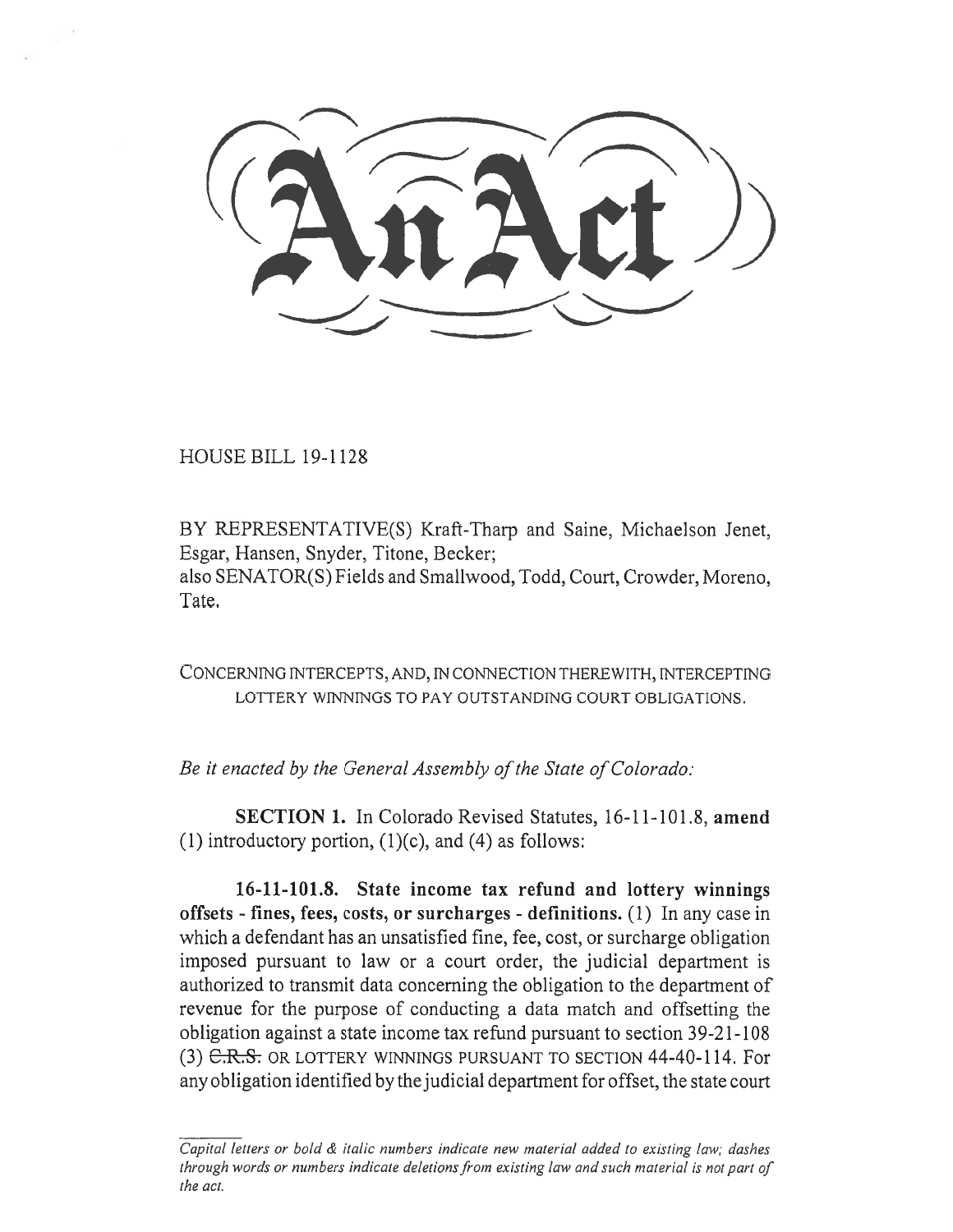HOUSE BILL 19-1128

BY REPRESENTATIVE(S) Kraft-Tharp and Saine, Michaelson Jenet, Esgar, Hansen, Snyder, Titone, Becker; also SENATOR(S) Fields and Smallwood, Todd, Court, Crowder, Moreno, Tate.

CONCERNING INTERCEPTS, AND, IN CONNECTION THEREWITH, INTERCEPTING LOTTERY WINNINGS TO PAY OUTSTANDING COURT OBLIGATIONS.

*Be it enacted by the General Assembly of the State of Colorado:* 

**SECTION 1.** In Colorado Revised Statutes, 16-11-101.8, **amend**  (1) introductory portion,  $(1)(c)$ , and  $(4)$  as follows:

**16-11-101.8. State income tax refund and lottery winnings offsets - fines, fees, costs, or surcharges - definitions.** (1) In any case in which a defendant has an unsatisfied fine, fee, cost, or surcharge obligation imposed pursuant to law or a court order, the judicial department is authorized to transmit data concerning the obligation to the department of revenue for the purpose of conducting a data match and offsetting the obligation against a state income tax refund pursuant to section 39-21-108 (3) C.R.S. OR LOTTERY WINNINGS PURSUANT TO SECTION 44-40-114. For any obligation identified by the judicial department for offset, the state court

*Capital letters or bold & italic numbers indicate new material added to existing law; dashes through words or numbers indicate deletions from existing law and such material is not part of the act.*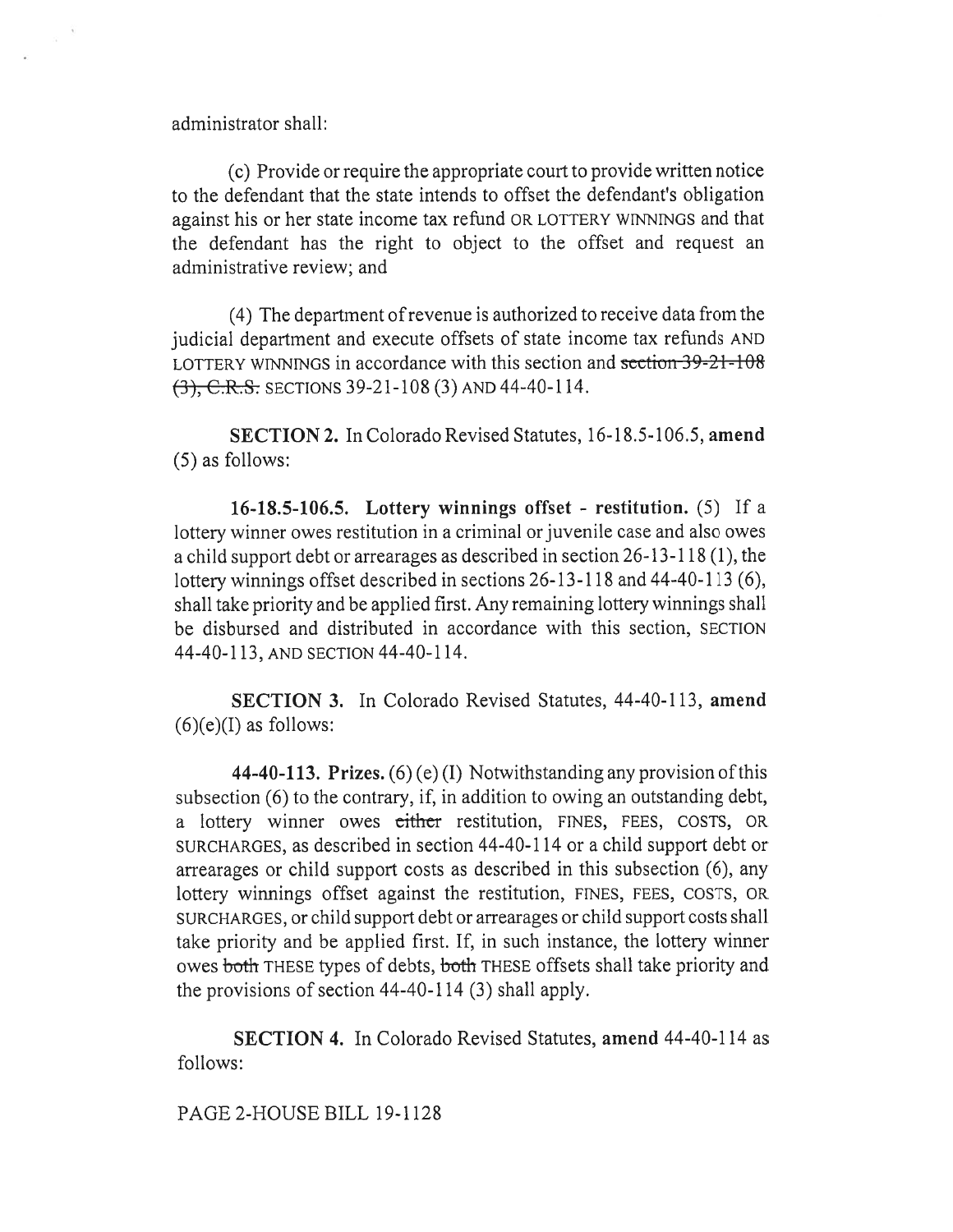administrator shall:

(c) Provide or require the appropriate court to provide written notice to the defendant that the state intends to offset the defendant's obligation against his or her state income tax refund OR LOTTERY WINNINGS and that the defendant has the right to object to the offset and request an administrative review; and

(4) The department of revenue is authorized to receive data from the judicial department and execute offsets of state income tax refunds AND LOTTERY WINNINGS in accordance with this section and section 39-21-108 (3), C.R.S. SECTIONS 39-21-108 (3) AND 44-40-114.

**SECTION 2.** In Colorado Revised Statutes, 16-18.5-106.5, **amend**  (5) as follows:

**16-18.5-106.5. Lottery winnings offset - restitution.** (5) If a lottery winner owes restitution in a criminal or juvenile case and also owes a child support debt or arrearages as described in section 26-13-118 (1), the lottery winnings offset described in sections 26-13-118 and 44-40-113 (6), shall take priority and be applied first. Any remaining lottery winnings shall be disbursed and distributed in accordance with this section, SECTION 44-40-113, AND SECTION 44-40-114.

**SECTION 3.** In Colorado Revised Statutes, 44-40-113, **amend**   $(6)(e)(I)$  as follows:

**44-40-113. Prizes.** (6) (e) (I) Notwithstanding any provision of this subsection (6) to the contrary, if, in addition to owing an outstanding debt, a lottery winner owes either restitution, FINES, FEES, COSTS, OR SURCHARGES, as described in section 44-40-114 or a child support debt or arrearages or child support costs as described in this subsection (6), any lottery winnings offset against the restitution, FINES, FEES, COSTS, OR SURCHARGES, or child support debt or arrearages or child support costs shall take priority and be applied first. If, in such instance, the lottery winner owes both THESE types of debts, both THESE offsets shall take priority and the provisions of section 44-40-114 (3) shall apply.

**SECTION 4.** In Colorado Revised Statutes, **amend** 44-40-114 as follows:

PAGE 2-HOUSE BILL 19-1128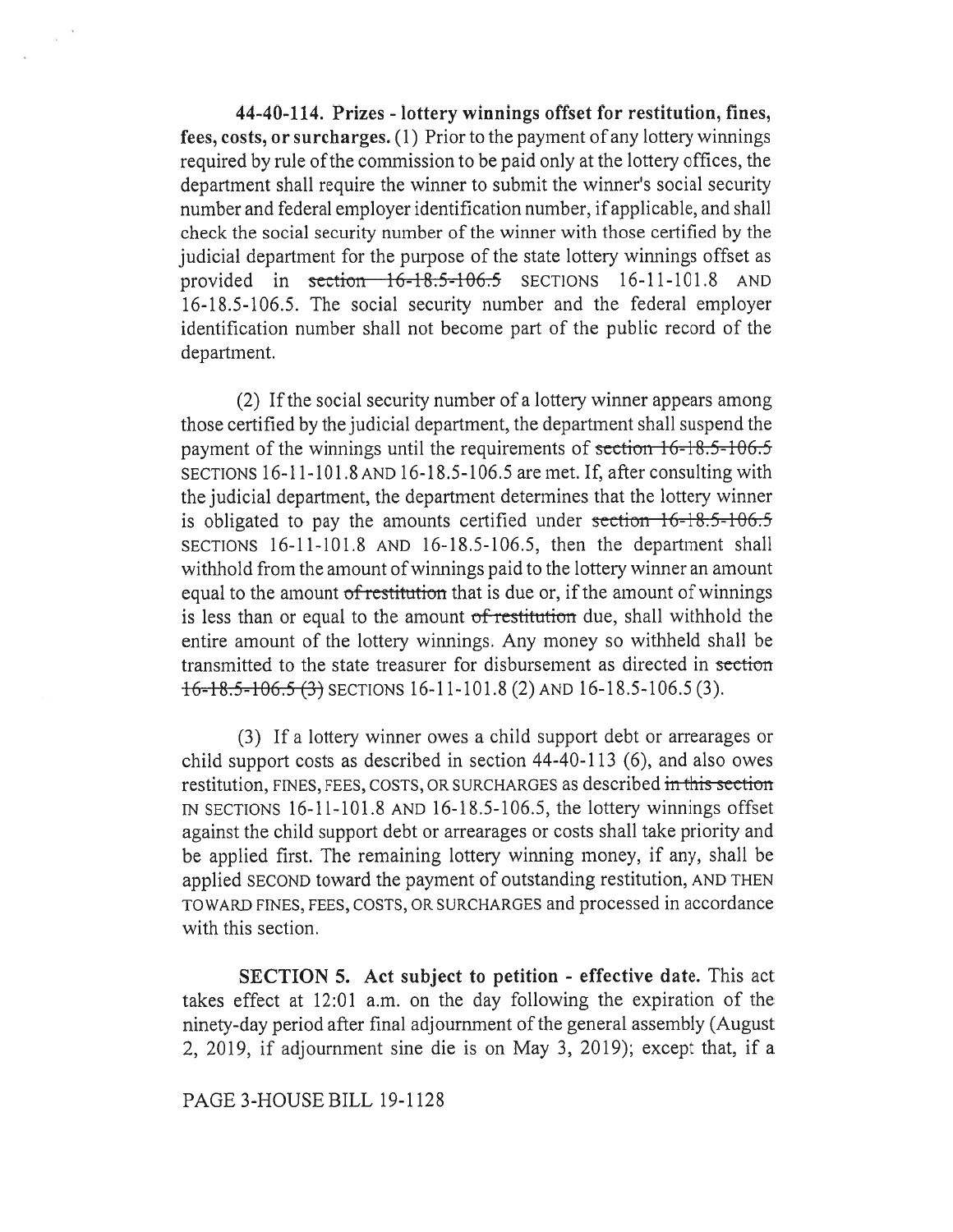44-40-114. Prizes - lottery winnings offset for restitution, fines, fees, costs, or surcharges. (1) Prior to the payment of any lottery winnings required by rule of the commission to be paid only at the lottery offices, the department shall require the winner to submit the winner's social security number and federal employer identification number, if applicable, and shall check the social security number of the winner with those certified by the judicial department for the purpose of the state lottery winnings offset as provided in section  $16-18.5-106.5$  SECTIONS 16-11-101.8 AND 16-18.5-106.5. The social security number and the federal employer identification number shall not become part of the public record of the department.

 $\mathcal{C}_{\mathbf{R}}$ 

(2) If the social security number of a lottery winner appears among those certified by the judicial department, the department shall suspend the payment of the winnings until the requirements of section  $16$ -18.5-106.5 SECTIONS 16-11-101.8 AND 16-18.5-106.5 are met. If, after consulting with the judicial department, the department determines that the lottery winner is obligated to pay the amounts certified under section  $16-18.5-106.5$ SECTIONS 16-11-101.8 AND 16-18.5-106.5, then the department shall withhold from the amount of winnings paid to the lottery winner an amount equal to the amount of restitution that is due or, if the amount of winnings is less than or equal to the amount of restitution due, shall withhold the entire amount of the lottery winnings. Any money so withheld shall be transmitted to the state treasurer for disbursement as directed in section  $16 - 18.5 - 106.5$  (3) SECTIONS 16-11-101.8 (2) AND 16-18.5-106.5 (3).

(3) If a lottery winner owes a child support debt or arrearages or child support costs as described in section 44-40-113 (6), and also owes restitution, FINES, FEES, COSTS, OR SURCHARGES as described in this section IN SECTIONS  $16-11-101.8$  AND  $16-18.5-106.5$ , the lottery winnings offset against the child support debt or arrearages or costs shall take priority and be applied first. The remaining lottery winning money, if any, shall be applied SECOND toward the payment of outstanding restitution, AND THEN TOWARD FINES, FEES, COSTS, OR SURCHARGES and processed in accordance with this section.

SECTION 5. Act subject to petition - effective date. This act takes effect at 12:01 a.m. on the day following the expiration of the ninety-day period after final adjournment of the general assembly (August 2, 2019, if adjournment sine die is on May 3, 2019); except that, if a

PAGE 3-HOUSE BILL 19-1128